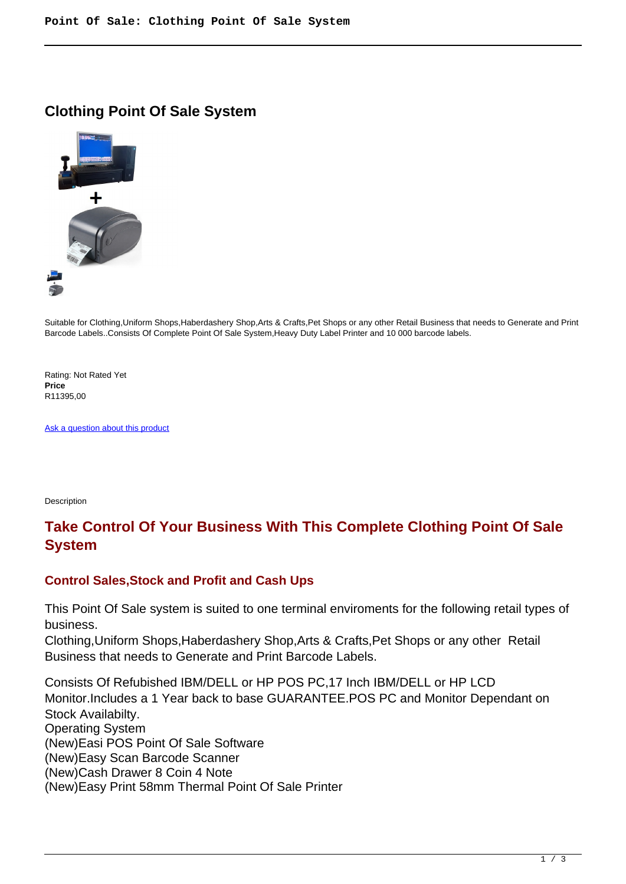### **Clothing Point Of Sale System**



Suitable for Clothing,Uniform Shops,Haberdashery Shop,Arts & Crafts,Pet Shops or any other Retail Business that needs to Generate and Print Barcode Labels..Consists Of Complete Point Of Sale System,Heavy Duty Label Printer and 10 000 barcode labels.

Rating: Not Rated Yet **Price**  R11395,00

[Ask a question about this product](https://retailjhb.co.za/index.php?option=com_virtuemart&view=productdetails&task=askquestion&virtuemart_product_id=122&virtuemart_category_id=13&tmpl=component)

Description

## **Take Control Of Your Business With This Complete Clothing Point Of Sale System**

#### **Control Sales,Stock and Profit and Cash Ups**

This Point Of Sale system is suited to one terminal enviroments for the following retail types of business.

Clothing,Uniform Shops,Haberdashery Shop,Arts & Crafts,Pet Shops or any other Retail Business that needs to Generate and Print Barcode Labels.

Consists Of Refubished IBM/DELL or HP POS PC,17 Inch IBM/DELL or HP LCD Monitor.Includes a 1 Year back to base GUARANTEE.POS PC and Monitor Dependant on Stock Availabilty. Operating System (New)Easi POS Point Of Sale Software (New)Easy Scan Barcode Scanner (New)Cash Drawer 8 Coin 4 Note (New)Easy Print 58mm Thermal Point Of Sale Printer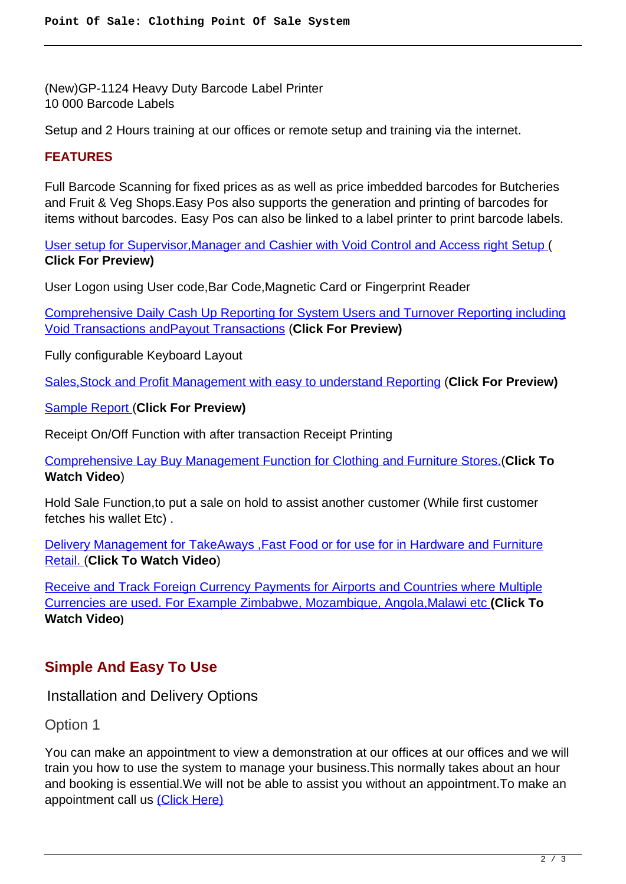(New)GP-1124 Heavy Duty Barcode Label Printer 10 000 Barcode Labels

Setup and 2 Hours training at our offices or remote setup and training via the internet.

#### **FEATURES**

Full Barcode Scanning for fixed prices as as well as price imbedded barcodes for Butcheries and Fruit & Veg Shops.Easy Pos also supports the generation and printing of barcodes for items without barcodes. Easy Pos can also be linked to a label printer to print barcode labels.

[User setup for Supervisor,Manager and Cashier with Void Control and Access right Setup](images/retail/User_And_Security.jpg) ( **Click For Preview)**

User Logon using User code,Bar Code,Magnetic Card or Fingerprint Reader

[Comprehensive Daily Cash Up Reporting for System Users and Turnover Reporting including](images/retail/CashUpReport.jpg) [Void Transactions andPayout Transactions](images/retail/CashUpReport.jpg) (**Click For Preview)**

Fully configurable Keyboard Layout

[Sales,Stock and Profit Management with easy to understand Reporting](images/retail/Item_Sales_Report.jpg) (**Click For Preview)**

[Sample Report \(](images/retail/Item_Sales_Report.jpg)**Click For Preview)**

Receipt On/Off Function with after transaction Receipt Printing

[Comprehensive Lay Buy Management Function for Clothing and Furniture Stores.\(](index.php?option=com_content&view=article&id=22)**Click To Watch Video**)

Hold Sale Function,to put a sale on hold to assist another customer (While first customer fetches his wallet Etc) .

[Delivery Management for TakeAways ,Fast Food or for use for in Hardware and Furniture](index.php?option=com_content&view=article&id=21) [Retail. \(](index.php?option=com_content&view=article&id=21)**Click To Watch Video**)

[Receive and Track Foreign Currency Payments for Airports and Countries where Multiple](index.php?option=com_content&view=article&id=23) [Currencies are used. For Example Zimbabwe, Mozambique, Angola,Malawi etc](index.php?option=com_content&view=article&id=23) **(Click To Watch Video)**

# **Simple And Easy To Use**

Installation and Delivery Options

Option 1

You can make an appointment to view a demonstration at our offices at our offices and we will train you how to use the system to manage your business.This normally takes about an hour and booking is essential.We will not be able to assist you without an appointment.To make an appointment call us [\(Click Here\)](address)